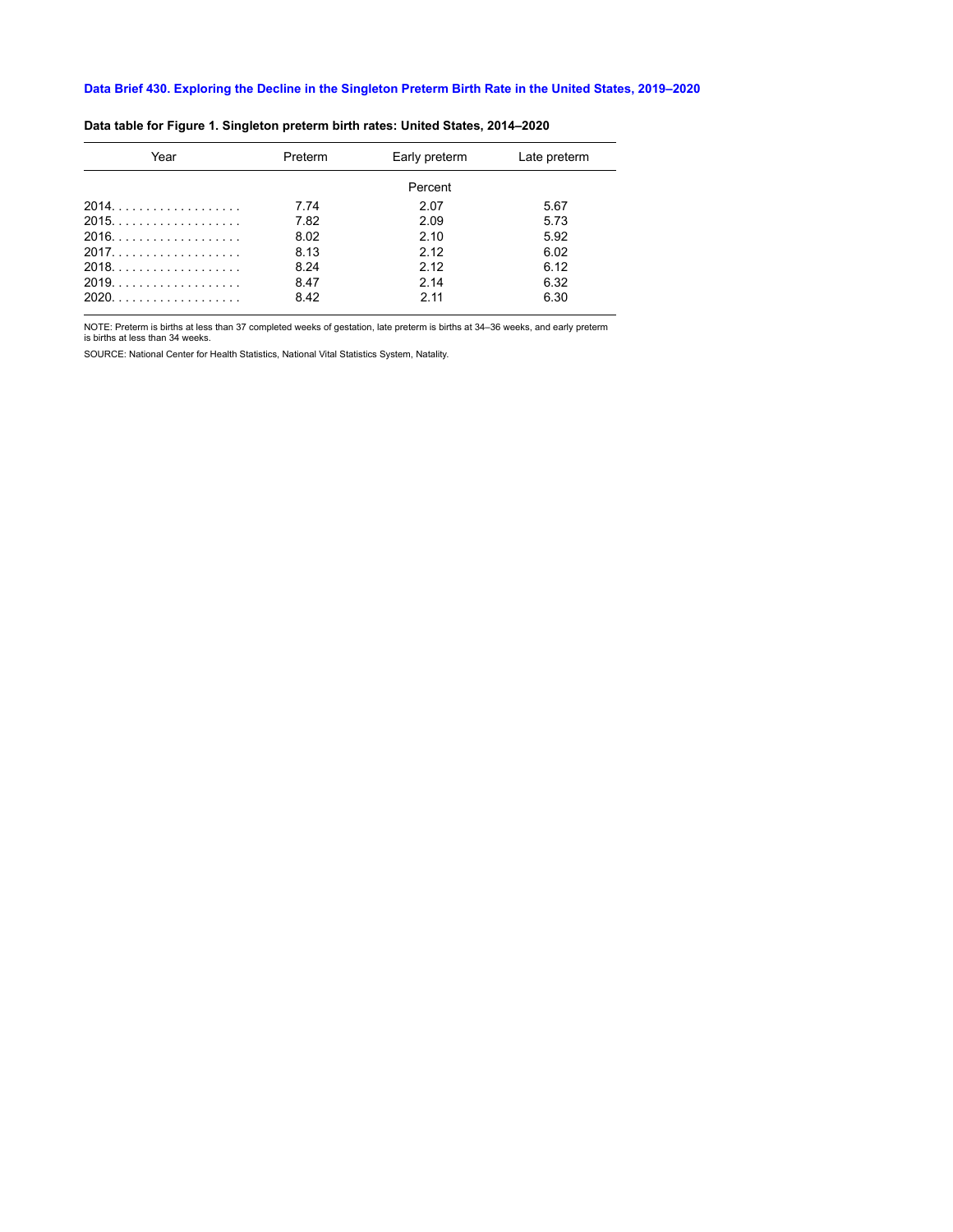| Year  | Preterm | Early preterm | Late preterm |
|-------|---------|---------------|--------------|
|       |         | Percent       |              |
|       | 7.74    | 2.07          | 5.67         |
|       | 7.82    | 2.09          | 5.73         |
| 2016. | 8.02    | 210           | 5.92         |
| 2017  | 8.13    | 2.12          | 6.02         |
| 2018  | 8.24    | 2 1 2         | 6.12         |
|       | 8.47    | 214           | 6.32         |
|       | 8.42    | 211           | 6.30         |
|       |         |               |              |

## **Data table for Figure 1. Singleton preterm birth rates: United States, 2014–2020**

NOTE: Preterm is births at less than 37 completed weeks of gestation, late preterm is births at 34–36 weeks, and early preterm is births at less than 34 weeks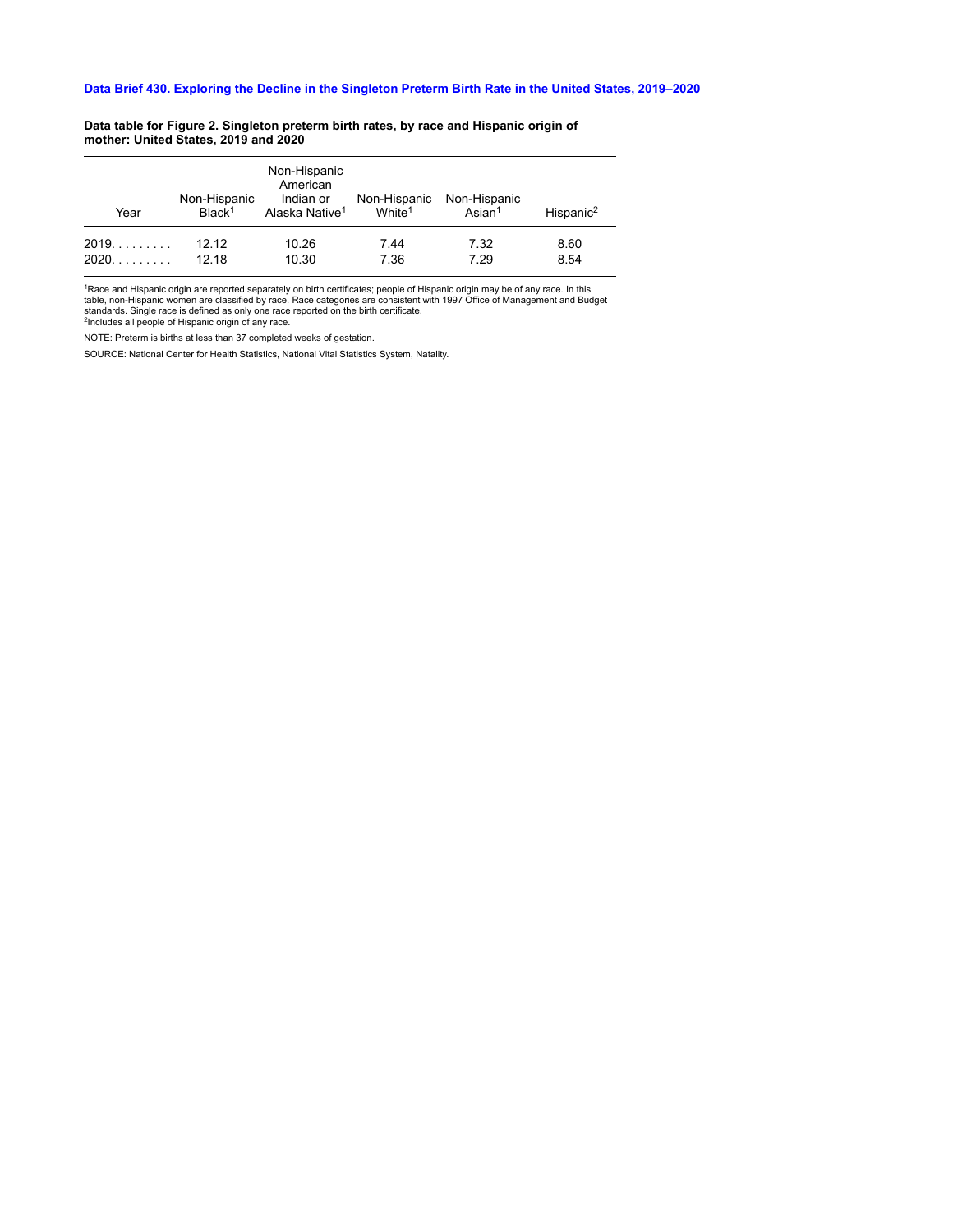#### **Data table for Figure 2. Singleton preterm birth rates, by race and Hispanic origin of mother: United States, 2019 and 2020**

| Year | Non-Hispanic<br>Black <sup>1</sup> | Non-Hispanic<br>American<br>Indian or<br>Alaska Native <sup>1</sup> | White <sup>1</sup> | Non-Hispanic Non-Hispanic<br>Asian <sup>1</sup> | Hispanic <sup>2</sup> |
|------|------------------------------------|---------------------------------------------------------------------|--------------------|-------------------------------------------------|-----------------------|
| 2019 | 12 12                              | 10.26                                                               | 7.44               | 7.32                                            | 8.60                  |
| 2020 | 12 18                              | 10.30                                                               | 7.36               | 7.29                                            | 8.54                  |

<sup>1</sup>Race and Hispanic origin are reported separately on birth certificates; people of Hispanic origin may be of any race. In this<br>table, non-Hispanic women are classified by race. Race categories are consistent with 1997 Of standards. Single race is defined as only one race reported on the birth certificate. <sup>2</sup>Includes all people of Hispanic origin of any race.

NOTE: Preterm is births at less than 37 completed weeks of gestation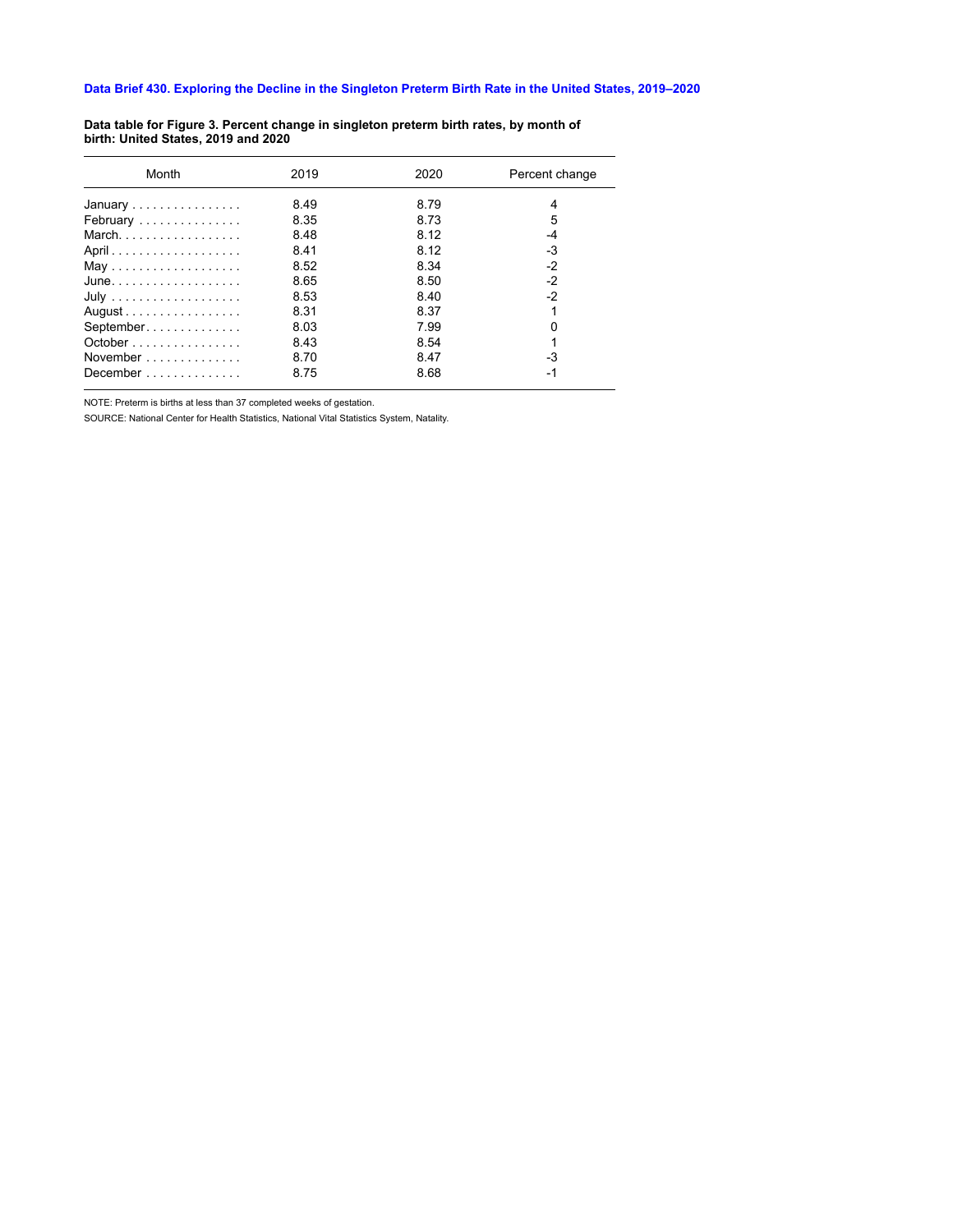| 2019 | 2020 | Percent change |
|------|------|----------------|
| 8.49 | 8.79 | 4              |
| 8.35 | 8.73 | 5              |
| 8.48 | 8.12 | -4             |
| 8.41 | 8.12 | $-3$           |
| 8.52 | 8.34 | $-2$           |
| 8.65 | 8.50 | $-2$           |
| 8.53 | 8.40 | $-2$           |
| 8.31 | 8.37 |                |
| 8.03 | 799  |                |
| 8.43 | 8.54 |                |
| 8.70 | 8.47 | -3             |
| 8.75 | 8.68 | -1             |
|      |      |                |

**Data table for Figure 3. Percent change in singleton preterm birth rates, by month of birth: United States, 2019 and 2020**

NOTE: Preterm is births at less than 37 completed weeks of gestation